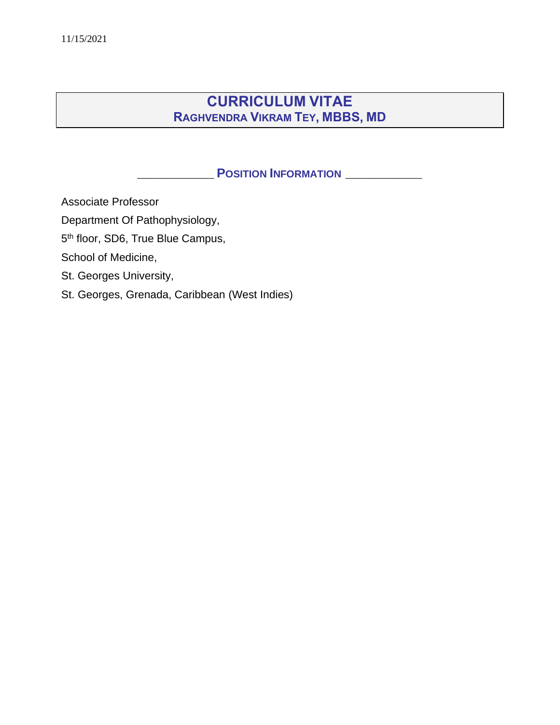# **CURRICULUM VITAE RAGHVENDRA VIKRAM TEY, MBBS, MD**

# \_\_\_\_\_\_\_\_\_\_\_\_\_\_ **POSITION INFORMATION** \_\_\_\_\_\_\_\_\_\_\_\_\_\_

Associate Professor

Department Of Pathophysiology,

5<sup>th</sup> floor, SD6, True Blue Campus,

School of Medicine,

St. Georges University,

St. Georges, Grenada, Caribbean (West Indies)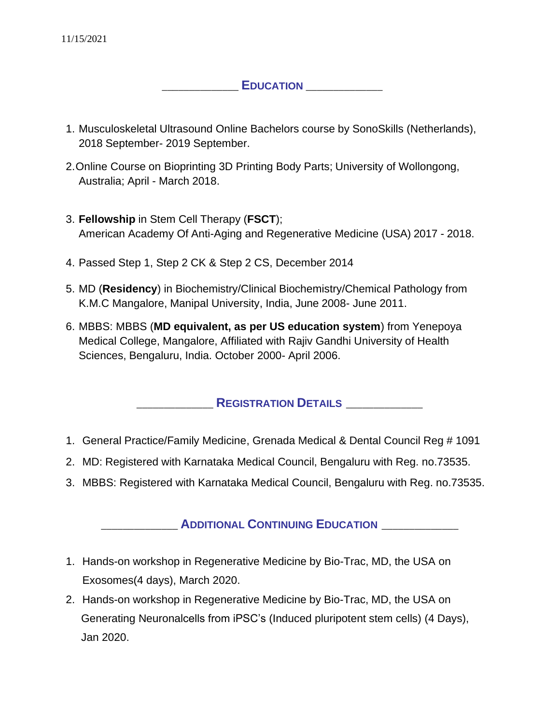11/15/2021

### $E$ *DUCATION*

- 1. Musculoskeletal Ultrasound Online Bachelors course by SonoSkills (Netherlands), 2018 September- 2019 September.
- 2.Online Course on Bioprinting 3D Printing Body Parts; University of Wollongong, Australia; April - March 2018.
- 3. **Fellowship** in Stem Cell Therapy (**FSCT**); American Academy Of Anti-Aging and Regenerative Medicine (USA) 2017 - 2018.
- 4. Passed Step 1, Step 2 CK & Step 2 CS, December 2014
- 5. MD (**Residency**) in Biochemistry/Clinical Biochemistry/Chemical Pathology from K.M.C Mangalore, Manipal University, India, June 2008- June 2011.
- 6. MBBS: MBBS (**MD equivalent, as per US education system**) from Yenepoya Medical College, Mangalore, Affiliated with Rajiv Gandhi University of Health Sciences, Bengaluru, India. October 2000- April 2006.

# \_\_\_\_\_\_\_\_\_\_\_\_\_\_ **REGISTRATION DETAILS** \_\_\_\_\_\_\_\_\_\_\_\_\_\_

- 1. General Practice/Family Medicine, Grenada Medical & Dental Council Reg # 1091
- 2. MD: Registered with Karnataka Medical Council, Bengaluru with Reg. no.73535.
- 3. MBBS: Registered with Karnataka Medical Council, Bengaluru with Reg. no.73535.

# \_\_\_\_\_\_\_\_\_\_\_\_\_\_ **ADDITIONAL CONTINUING EDUCATION** \_\_\_\_\_\_\_\_\_\_\_\_\_\_

- 1. Hands-on workshop in Regenerative Medicine by Bio-Trac, MD, the USA on Exosomes(4 days), March 2020.
- 2. Hands-on workshop in Regenerative Medicine by Bio-Trac, MD, the USA on Generating Neuronalcells from iPSC's (Induced pluripotent stem cells) (4 Days), Jan 2020.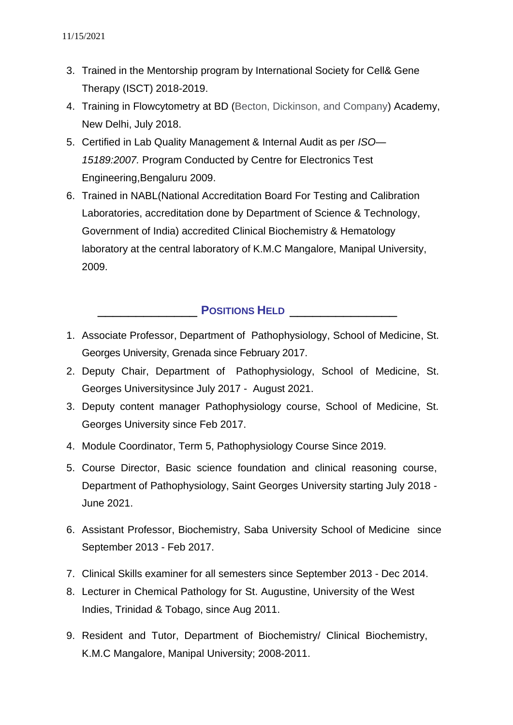- 3. Trained in the Mentorship program by International Society for Cell& Gene Therapy (ISCT) 2018-2019.
- 4. Training in Flowcytometry at BD (Becton, Dickinson, and Company) Academy, New Delhi, July 2018.
- 5. Certified in Lab Quality Management & Internal Audit as per *ISO— 15189:2007.* Program Conducted by Centre for Electronics Test Engineering,Bengaluru 2009.
- 6. Trained in NABL(National Accreditation Board For Testing and Calibration Laboratories, accreditation done by Department of Science & Technology, Government of India) accredited Clinical Biochemistry & Hematology laboratory at the central laboratory of K.M.C Mangalore, Manipal University, 2009.

# \_\_\_\_\_\_\_\_\_\_\_\_\_ **POSITIONS HELD** \_\_\_\_\_\_\_\_\_\_\_\_\_\_

- 1. Associate Professor, Department of Pathophysiology, School of Medicine, St. Georges University, Grenada since February 2017.
- 2. Deputy Chair, Department of Pathophysiology, School of Medicine, St. Georges Universitysince July 2017 - August 2021.
- 3. Deputy content manager Pathophysiology course, School of Medicine, St. Georges University since Feb 2017.
- 4. Module Coordinator, Term 5, Pathophysiology Course Since 2019.
- 5. Course Director, Basic science foundation and clinical reasoning course, Department of Pathophysiology, Saint Georges University starting July 2018 - June 2021.
- 6. Assistant Professor, Biochemistry, Saba University School of Medicine since September 2013 - Feb 2017.
- 7. Clinical Skills examiner for all semesters since September 2013 Dec 2014.
- 8. Lecturer in Chemical Pathology for St. Augustine, University of the West Indies, Trinidad & Tobago, since Aug 2011.
- 9. Resident and Tutor, Department of Biochemistry/ Clinical Biochemistry, K.M.C Mangalore, Manipal University; 2008-2011.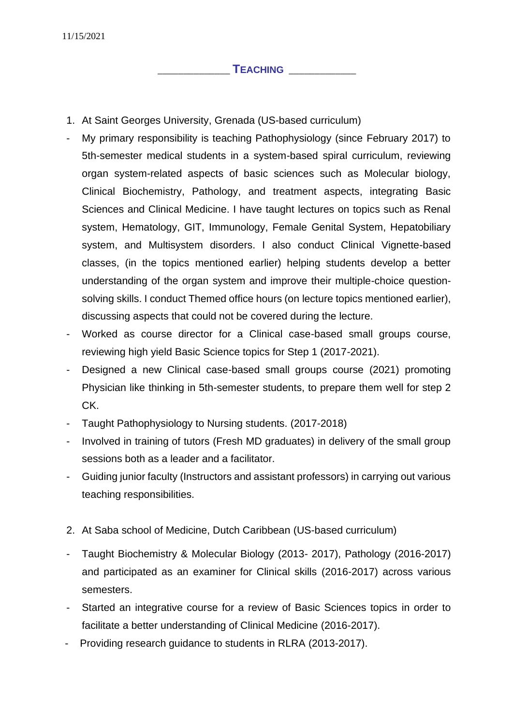### \_\_\_\_\_\_\_\_\_\_\_\_\_\_ **TEACHING** \_\_\_\_\_\_\_\_\_\_\_\_\_

- 1. At Saint Georges University, Grenada (US-based curriculum)
- My primary responsibility is teaching Pathophysiology (since February 2017) to 5th-semester medical students in a system-based spiral curriculum, reviewing organ system-related aspects of basic sciences such as Molecular biology, Clinical Biochemistry, Pathology, and treatment aspects, integrating Basic Sciences and Clinical Medicine. I have taught lectures on topics such as Renal system, Hematology, GIT, Immunology, Female Genital System, Hepatobiliary system, and Multisystem disorders. I also conduct Clinical Vignette-based classes, (in the topics mentioned earlier) helping students develop a better understanding of the organ system and improve their multiple-choice questionsolving skills. I conduct Themed office hours (on lecture topics mentioned earlier), discussing aspects that could not be covered during the lecture.
- Worked as course director for a Clinical case-based small groups course, reviewing high yield Basic Science topics for Step 1 (2017-2021).
- Designed a new Clinical case-based small groups course (2021) promoting Physician like thinking in 5th-semester students, to prepare them well for step 2 CK.
- Taught Pathophysiology to Nursing students. (2017-2018)
- Involved in training of tutors (Fresh MD graduates) in delivery of the small group sessions both as a leader and a facilitator.
- Guiding junior faculty (Instructors and assistant professors) in carrying out various teaching responsibilities.
- 2. At Saba school of Medicine, Dutch Caribbean (US-based curriculum)
- Taught Biochemistry & Molecular Biology (2013- 2017), Pathology (2016-2017) and participated as an examiner for Clinical skills (2016-2017) across various semesters.
- Started an integrative course for a review of Basic Sciences topics in order to facilitate a better understanding of Clinical Medicine (2016-2017).
- Providing research guidance to students in RLRA (2013-2017).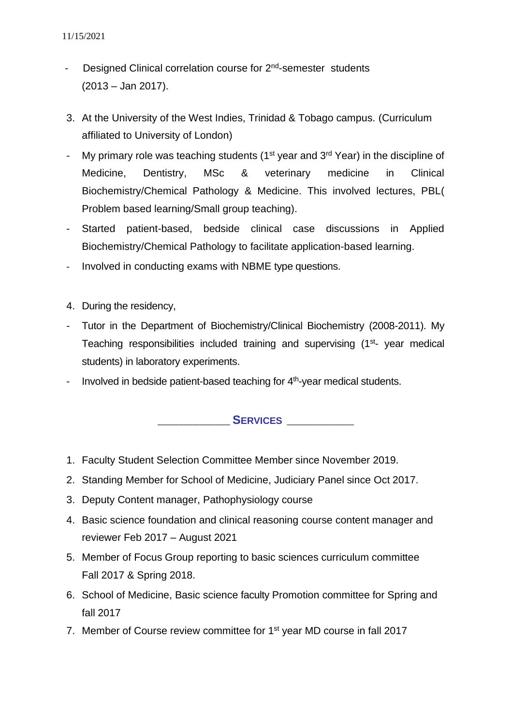- Designed Clinical correlation course for 2<sup>nd</sup>-semester students (2013 – Jan 2017).
- 3. At the University of the West Indies, Trinidad & Tobago campus. (Curriculum affiliated to University of London)
- My primary role was teaching students ( $1<sup>st</sup>$  year and  $3<sup>rd</sup>$  Year) in the discipline of Medicine, Dentistry, MSc & veterinary medicine in Clinical Biochemistry/Chemical Pathology & Medicine. This involved lectures, PBL( Problem based learning/Small group teaching).
- Started patient-based, bedside clinical case discussions in Applied Biochemistry/Chemical Pathology to facilitate application-based learning.
- Involved in conducting exams with NBME type questions.
- 4. During the residency,
- Tutor in the Department of Biochemistry/Clinical Biochemistry (2008-2011). My Teaching responsibilities included training and supervising (1<sup>st</sup>- year medical students) in laboratory experiments.
- Involved in bedside patient-based teaching for  $4<sup>th</sup>$ -year medical students.

\_\_\_\_\_\_\_\_\_\_\_\_\_\_ **SERVICES** \_\_\_\_\_\_\_\_\_\_\_\_\_

- 1. Faculty Student Selection Committee Member since November 2019.
- 2. Standing Member for School of Medicine, Judiciary Panel since Oct 2017.
- 3. Deputy Content manager, Pathophysiology course
- 4. Basic science foundation and clinical reasoning course content manager and reviewer Feb 2017 – August 2021
- 5. Member of Focus Group reporting to basic sciences curriculum committee Fall 2017 & Spring 2018.
- 6. School of Medicine, Basic science faculty Promotion committee for Spring and fall 2017
- 7. Member of Course review committee for 1<sup>st</sup> year MD course in fall 2017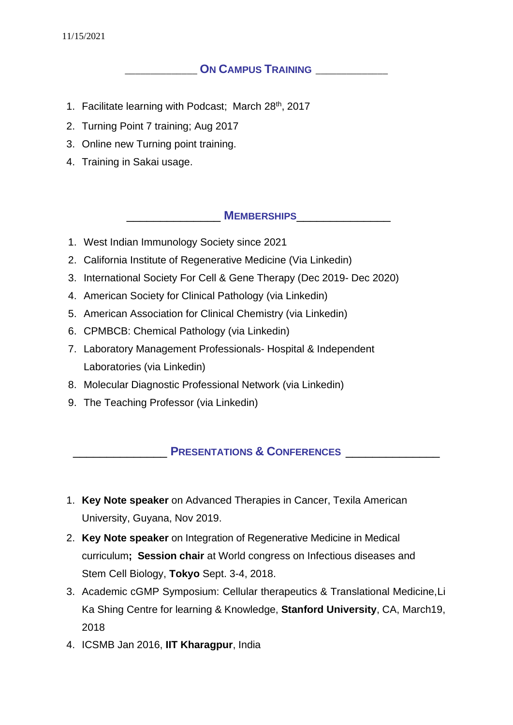#### 11/15/2021

## \_\_\_\_\_\_\_\_\_\_\_\_\_\_ **ON CAMPUS TRAINING** \_\_\_\_\_\_\_\_\_\_\_\_\_\_

- 1. Facilitate learning with Podcast; March 28<sup>th</sup>, 2017
- 2. Turning Point 7 training; Aug 2017
- 3. Online new Turning point training.
- 4. Training in Sakai usage.

\_\_\_\_\_\_\_\_\_\_\_\_\_\_ **MEMBERSHIPS**\_\_\_\_\_\_\_\_\_\_\_\_\_\_

- 1. West Indian Immunology Society since 2021
- 2. California Institute of Regenerative Medicine (Via Linkedin)
- 3. International Society For Cell & Gene Therapy (Dec 2019- Dec 2020)
- 4. American Society for Clinical Pathology (via Linkedin)
- 5. American Association for Clinical Chemistry (via Linkedin)
- 6. CPMBCB: Chemical Pathology (via Linkedin)
- 7. Laboratory Management Professionals- Hospital & Independent Laboratories (via Linkedin)
- 8. Molecular Diagnostic Professional Network (via Linkedin)
- 9. The Teaching Professor (via Linkedin)

# \_\_\_\_\_\_\_\_\_\_\_\_\_\_ **PRESENTATIONS & CONFERENCES** \_\_\_\_\_\_\_\_\_\_\_\_\_\_

- 1. **Key Note speaker** on Advanced Therapies in Cancer, Texila American University, Guyana, Nov 2019.
- 2. **Key Note speaker** on Integration of Regenerative Medicine in Medical curriculum**; Session chair** at World congress on Infectious diseases and Stem Cell Biology, **Tokyo** Sept. 3-4, 2018.
- 3. Academic cGMP Symposium: Cellular therapeutics & Translational Medicine,Li Ka Shing Centre for learning & Knowledge, **Stanford University**, CA, March 19, 2018
- 4. ICSMB Jan 2016, **IIT Kharagpur**, India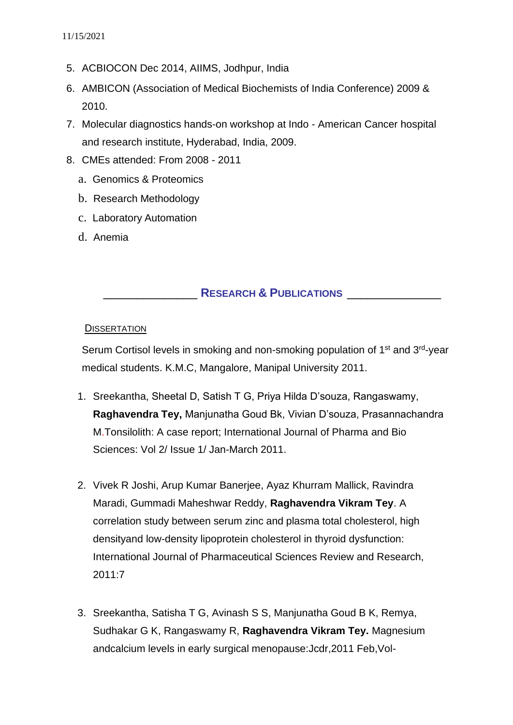- 5. ACBIOCON Dec 2014, AIIMS, Jodhpur, India
- 6. AMBICON (Association of Medical Biochemists of India Conference) 2009 & 2010.
- 7. Molecular diagnostics hands-on workshop at Indo American Cancer hospital and research institute, Hyderabad, India, 2009.
- 8. CMEs attended: From 2008 2011
	- a. Genomics & Proteomics
	- b. Research Methodology
	- c. Laboratory Automation
	- d. Anemia

### \_\_\_\_\_\_\_\_\_\_\_\_\_\_ **RESEARCH & PUBLICATIONS** \_\_\_\_\_\_\_\_\_\_\_\_\_\_

#### **DISSERTATION**

Serum Cortisol levels in smoking and non-smoking population of 1<sup>st</sup> and 3<sup>rd</sup>-year medical students. K.M.C, Mangalore, Manipal University 2011.

- 1. Sreekantha, Sheetal D, Satish T G, Priya Hilda D'souza, Rangaswamy, **Raghavendra Tey,** Manjunatha Goud Bk, Vivian D'souza, Prasannachandra M.Tonsilolith: A case report; International Journal of Pharma and Bio Sciences: Vol 2/ Issue 1/ Jan-March 2011.
- 2. Vivek R Joshi, Arup Kumar Banerjee, Ayaz Khurram Mallick, Ravindra Maradi, Gummadi Maheshwar Reddy, **Raghavendra Vikram Tey**. A correlation study between serum zinc and plasma total cholesterol, high densityand low-density lipoprotein cholesterol in thyroid dysfunction: International Journal of Pharmaceutical Sciences Review and Research, 2011:7
- 3. Sreekantha, Satisha T G, Avinash S S, Manjunatha Goud B K, Remya, Sudhakar G K, Rangaswamy R, **Raghavendra Vikram Tey.** Magnesium andcalcium levels in early surgical menopause:Jcdr,2011 Feb,Vol-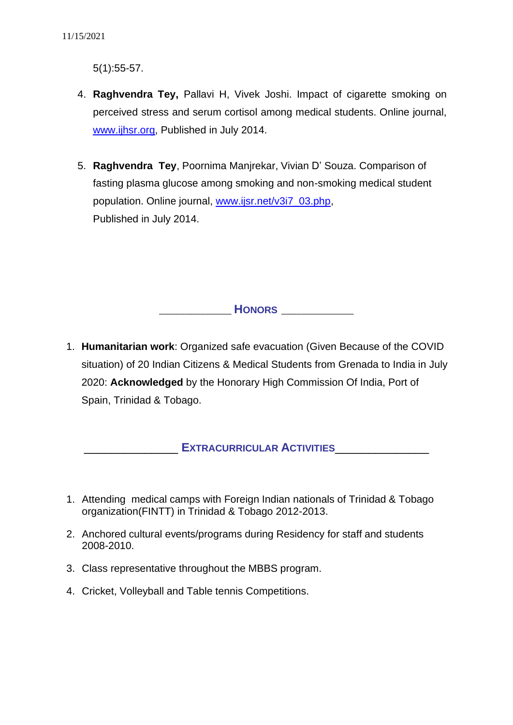5(1):55-57.

- 4. **Raghvendra Tey,** Pallavi H, Vivek Joshi. Impact of cigarette smoking on perceived stress and serum cortisol among medical students. Online journal, [www.ijhsr.org,](http://www.ijhsr.org/) Published in July 2014.
- 5. **Raghvendra Tey**, Poornima Manjrekar, Vivian D' Souza. Comparison of fasting plasma glucose among smoking and non-smoking medical student population. Online journal, [www.ijsr.net/v3i7\\_03.php,](http://www.ijsr.net/v3i7_03.php) Published in July 2014.

\_\_\_\_\_\_\_\_\_\_\_\_\_\_ **HONORS** \_\_\_\_\_\_\_\_\_\_\_\_\_\_

1. **Humanitarian work**: Organized safe evacuation (Given Because of the COVID situation) of 20 Indian Citizens & Medical Students from Grenada to India in July 2020: **Acknowledged** by the Honorary High Commission Of India, Port of Spain, Trinidad & Tobago.

### \_\_\_\_\_\_\_\_\_\_\_\_\_\_ **EXTRACURRICULAR ACTIVITIES**\_\_\_\_\_\_\_\_\_\_\_\_\_\_

- 1. Attending medical camps with Foreign Indian nationals of Trinidad & Tobago organization(FINTT) in Trinidad & Tobago 2012-2013.
- 2. Anchored cultural events/programs during Residency for staff and students 2008-2010.
- 3. Class representative throughout the MBBS program.
- 4. Cricket, Volleyball and Table tennis Competitions.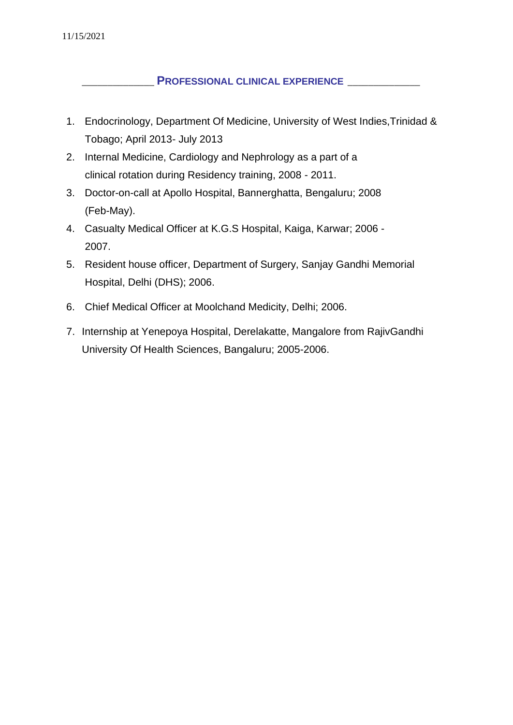\_\_\_\_\_\_\_\_\_\_\_\_\_\_ **PROFESSIONAL CLINICAL EXPERIENCE** \_\_\_\_\_\_\_\_\_\_\_\_\_\_

- 1. Endocrinology, Department Of Medicine, University of West Indies,Trinidad & Tobago; April 2013- July 2013
- 2. Internal Medicine, Cardiology and Nephrology as a part of a clinical rotation during Residency training, 2008 - 2011.
- 3. Doctor-on-call at Apollo Hospital, Bannerghatta, Bengaluru; 2008 (Feb-May).
- 4. Casualty Medical Officer at K.G.S Hospital, Kaiga, Karwar; 2006 2007.
- 5. Resident house officer, Department of Surgery, Sanjay Gandhi Memorial Hospital, Delhi (DHS); 2006.
- 6. Chief Medical Officer at Moolchand Medicity, Delhi; 2006.
- 7. Internship at Yenepoya Hospital, Derelakatte, Mangalore from RajivGandhi University Of Health Sciences, Bangaluru; 2005-2006.